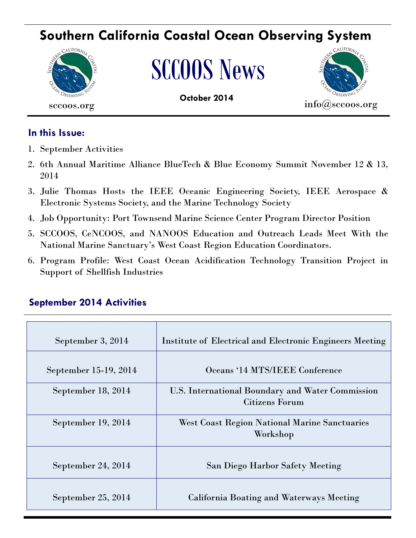# **Southern California Coastal Ocean Observing System**



# SCCOOS News



# **In this Issue:**

- 1. September Activities
- 2. 6th Annual Maritime Alliance BlueTech & Blue Economy Summit November 12 & 13, 2014
- 3. Julie Thomas Hosts the IEEE Oceanic Engineering Society, IEEE Aerospace & Electronic Systems Society, and the Marine Technology Society
- 4. Job Opportunity: Port Townsend Marine Science Center Program Director Position
- 5. SCCOOS, CeNCOOS, and NANOOS Education and Outreach Leads Meet With the National Marine Sanctuary's West Coast Region Education Coordinators.
- 6. Program Profile: West Coast Ocean Acidification Technology Transition Project in Support of Shellfish Industries

# **September 2014 Activities**

| September 3, 2014     | Institute of Electrical and Electronic Engineers Meeting           |
|-----------------------|--------------------------------------------------------------------|
| September 15-19, 2014 | Oceans '14 MTS/IEEE Conference                                     |
| September 18, 2014    | U.S. International Boundary and Water Commission<br>Citizens Forum |
| September 19, 2014    | <b>West Coast Region National Marine Sanctuaries</b><br>Workshop   |
| September 24, 2014    | San Diego Harbor Safety Meeting                                    |
| September 25, 2014    | California Boating and Waterways Meeting                           |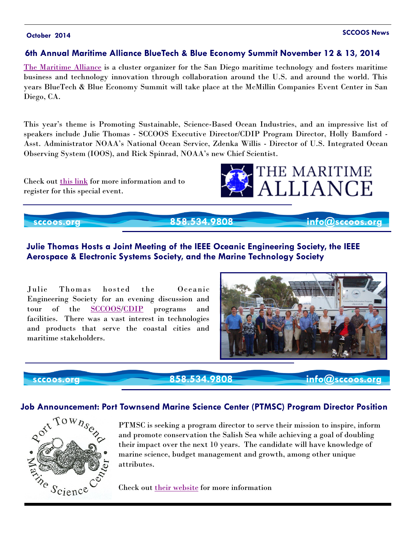# **October 2014 SCCOOS News**

## **6th Annual Maritime Alliance BlueTech & Blue Economy Summit November 12 & 13, 2014**

[The Maritime Alliance](http://themaritimealliance.org) is a cluster organizer for the San Diego maritime technology and fosters maritime business and technology innovation through collaboration around the U.S. and around the world. This years BlueTech & Blue Economy Summit will take place at the McMillin Companies Event Center in San Diego, CA.

This year's theme is Promoting Sustainable, Science-Based Ocean Industries, and an impressive list of speakers include Julie Thomas - SCCOOS Executive Director/CDIP Program Director, Holly Bamford - Asst. Administrator NOAA's National Ocean Service, Zdenka Willis - Director of U.S. Integrated Ocean Observing System (IOOS), and Rick Spinrad, NOAA's new Chief Scientist.

Check out [this link](http://themaritimealliance.org/2014/07/6th-annual-bluetech-summit/) for more information and to register for this special event.



# **sccoos.org 858.534.9808 info@sccoos.org**

# **Julie Thomas Hosts a Joint Meeting of the IEEE Oceanic Engineering Society, the IEEE Aerospace & Electronic Systems Society, and the Marine Technology Society**

Julie Thomas hosted the Oceanic Engineering Society for an evening discussion and tour of the [SCCOOS/](sccoos.org)[CDIP](cdip.ucsd.edu) programs and facilities. There was a vast interest in technologies and products that serve the coastal cities and maritime stakeholders.



 **sccoos.org 858.534.9808 info@sccoos.org**

### **Job Announcement: Port Townsend Marine Science Center (PTMSC) Program Director Position**



PTMSC is seeking a program director to serve their mission to inspire, inform and promote conservation the Salish Sea while achieving a goal of doubling their impact over the next 10 years. The candidate will have knowledge of marine science, budget management and growth, among other unique attributes.

Check out [their website](http://www.ptmsc.org/employment.html) for more information